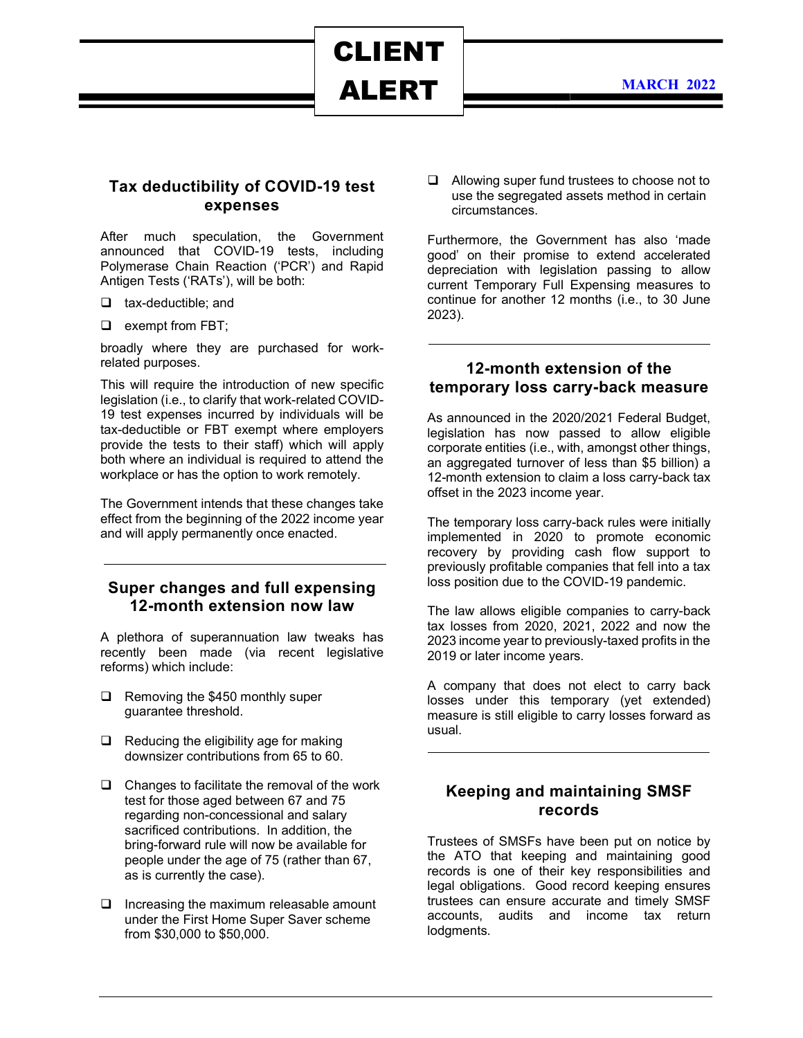ALERT

CLIENT

#### Tax deductibility of COVID-19 test expenses

After much speculation, the Government announced that COVID-19 tests, including Polymerase Chain Reaction ('PCR') and Rapid Antigen Tests ('RATs'), will be both:

- $\Box$  tax-deductible; and
- $\Box$  exempt from FBT;

broadly where they are purchased for workrelated purposes.

This will require the introduction of new specific legislation (i.e., to clarify that work-related COVID-19 test expenses incurred by individuals will be tax-deductible or FBT exempt where employers provide the tests to their staff) which will apply both where an individual is required to attend the workplace or has the option to work remotely.

The Government intends that these changes take effect from the beginning of the 2022 income year and will apply permanently once enacted.

### Super changes and full expensing 12-month extension now law

A plethora of superannuation law tweaks has recently been made (via recent legislative reforms) which include:

- $\Box$  Removing the \$450 monthly super guarantee threshold.
- $\Box$  Reducing the eligibility age for making downsizer contributions from 65 to 60.
- $\Box$  Changes to facilitate the removal of the work test for those aged between 67 and 75 regarding non-concessional and salary sacrificed contributions. In addition, the bring-forward rule will now be available for people under the age of 75 (rather than 67, as is currently the case).
- $\Box$  Increasing the maximum releasable amount under the First Home Super Saver scheme from \$30,000 to \$50,000.

 Allowing super fund trustees to choose not to use the segregated assets method in certain circumstances.

Furthermore, the Government has also 'made good' on their promise to extend accelerated depreciation with legislation passing to allow current Temporary Full Expensing measures to continue for another 12 months (i.e., to 30 June 2023).

#### 12-month extension of the temporary loss carry-back measure

As announced in the 2020/2021 Federal Budget, legislation has now passed to allow eligible corporate entities (i.e., with, amongst other things, an aggregated turnover of less than \$5 billion) a 12-month extension to claim a loss carry-back tax offset in the 2023 income year.

The temporary loss carry-back rules were initially implemented in 2020 to promote economic recovery by providing cash flow support to previously profitable companies that fell into a tax loss position due to the COVID-19 pandemic.

The law allows eligible companies to carry-back tax losses from 2020, 2021, 2022 and now the 2023 income year to previously-taxed profits in the 2019 or later income years.

A company that does not elect to carry back losses under this temporary (yet extended) measure is still eligible to carry losses forward as usual.

### Keeping and maintaining SMSF records

Trustees of SMSFs have been put on notice by the ATO that keeping and maintaining good records is one of their key responsibilities and legal obligations. Good record keeping ensures trustees can ensure accurate and timely SMSF accounts, audits and income tax return lodgments.